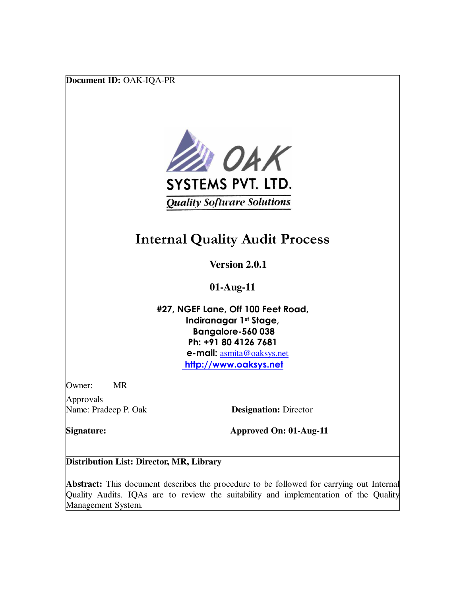**Document ID:** OAK-IQA-PR



# **Internal Quality Audit Process**

 **Version 2.0.1**

**01-Aug-11** 

**#27, NGEF Lane, Off 100 Feet Road, Indiranagar 1st Stage, Bangalore-560 038 Ph: +91 80 4126 7681 e-mail:** asmita@oaksys.net **http://www.oaksys.net**

Owner: MR

Approvals Name: Pradeep P. Oak **Designation:** Director

**Signature: Approved On: 01-Aug-11**

**Distribution List: Director, MR, Library** 

**Abstract:** This document describes the procedure to be followed for carrying out Internal Quality Audits. IQAs are to review the suitability and implementation of the Quality Management System.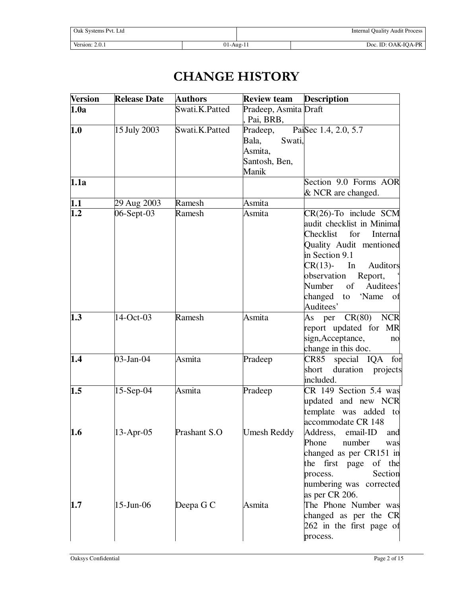| Oak Systems Pvt. Ltd |              | <b>Internal Quality Audit Process</b> |
|----------------------|--------------|---------------------------------------|
| Version: $2.0.1$     | $01$ -Aug-11 | Doc. ID: OAK-IQA-PR                   |

# **CHANGE HISTORY**

| <b>Version</b> | <b>Release Date</b> | <b>Authors</b> | <b>Review team</b>    | <b>Description</b>           |
|----------------|---------------------|----------------|-----------------------|------------------------------|
| 1.0a           |                     | Swati.K.Patted | Pradeep, Asmita Draft |                              |
|                |                     |                | Pai, BRB,             |                              |
| 1.0            | 15 July 2003        | Swati.K.Patted | Pradeep,              | PaiSec 1.4, 2.0, 5.7         |
|                |                     |                | Swati,<br>Bala,       |                              |
|                |                     |                | Asmita,               |                              |
|                |                     |                | Santosh, Ben,         |                              |
|                |                     |                | Manik                 |                              |
| 1.1a           |                     |                |                       | Section 9.0 Forms AOR        |
|                |                     |                |                       | & NCR are changed.           |
| 1.1            | 29 Aug 2003         | Ramesh         | Asmita                |                              |
| 1.2            | 06-Sept-03          | Ramesh         | Asmita                | $CR(26)$ -To include SCM     |
|                |                     |                |                       | audit checklist in Minimal   |
|                |                     |                |                       | Checklist<br>for<br>Internal |
|                |                     |                |                       | Quality Audit mentioned      |
|                |                     |                |                       | in Section 9.1               |
|                |                     |                |                       | $CR(13)$ -<br>In<br>Auditors |
|                |                     |                |                       | observation<br>Report,       |
|                |                     |                |                       | of Auditees'<br>Number       |
|                |                     |                |                       | 'Name<br>changed<br>to<br>Οİ |
|                |                     |                |                       | Auditees'                    |
| 1.3            | 14-Oct-03           | Ramesh         | Asmita                | $CR(80)$ NCR<br>As per       |
|                |                     |                |                       | report updated for MR        |
|                |                     |                |                       | sign, Acceptance,<br>no      |
|                |                     |                |                       | change in this doc.          |
| 1.4            | $03$ -Jan- $04$     | Asmita         | Pradeep               | CR85 special IQA for         |
|                |                     |                |                       | duration projects<br>short   |
|                |                     |                |                       | included.                    |
| 1.5            | $15-Sep-04$         | Asmita         | Pradeep               | CR 149 Section 5.4 was       |
|                |                     |                |                       | updated and new NCR          |
|                |                     |                |                       | template was added to        |
|                |                     |                |                       | accommodate CR 148           |
| 1.6            | 13-Apr-05           | Prashant S.O   | Umesh Reddy           | Address, email-ID<br>and     |
|                |                     |                |                       | Phone<br>number<br>was       |
|                |                     |                |                       | changed as per CR151 in      |
|                |                     |                |                       | the first page<br>of the     |
|                |                     |                |                       | Section<br>process.          |
|                |                     |                |                       | numbering was corrected      |
|                |                     |                |                       | as per CR 206.               |
| 1.7            | $15$ -Jun-06        | Deepa G C      | Asmita                | The Phone Number was         |
|                |                     |                |                       | changed as per the CR        |
|                |                     |                |                       | 262 in the first page of     |
|                |                     |                |                       | process.                     |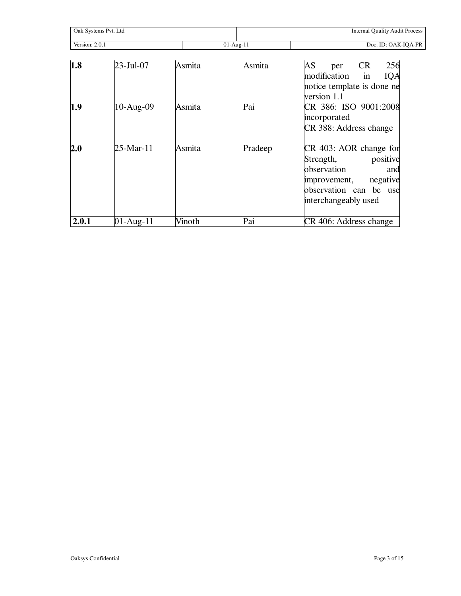|       | Oak Systems Pvt. Ltd<br>Version: 2.0.1<br>$01-Aug-11$ |        | <b>Internal Quality Audit Process</b> |                                                                                                                                                     |
|-------|-------------------------------------------------------|--------|---------------------------------------|-----------------------------------------------------------------------------------------------------------------------------------------------------|
|       |                                                       |        | Doc. ID: OAK-IQA-PR                   |                                                                                                                                                     |
| 1.8   | 23-Jul-07                                             | Asmita | Asmita                                | 256<br>AS<br><b>CR</b><br>per<br>modification<br>in<br>IQA<br>notice template is done ne<br>version 1.1                                             |
| 1.9   | $10-Aug-09$                                           | Asmita | Pai                                   | CR 386: ISO 9001:2008<br>incorporated<br>CR 388: Address change                                                                                     |
| 2.0   | 25-Mar-11                                             | Asmita | Pradeep                               | CR 403: AOR change for<br>positive<br>Strength,<br>observation<br>and<br>negative<br>improvement,<br>observation can be use<br>interchangeably used |
| 2.0.1 | 01-Aug-11                                             | Vinoth | Pai                                   | CR 406: Address change                                                                                                                              |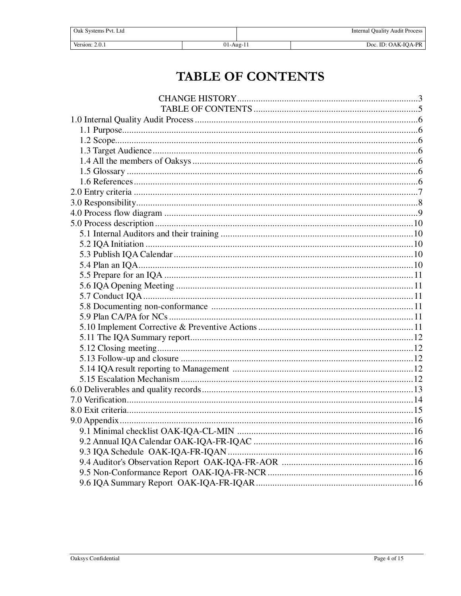| Oak Systems Pvt. Ltd |           | <b>Internal Quality Audit Process</b> |
|----------------------|-----------|---------------------------------------|
|                      |           |                                       |
| Version: 2.0.1       | 01-Aug-11 | Doc. ID: OAK-IOA-PR                   |

# TABLE OF CONTENTS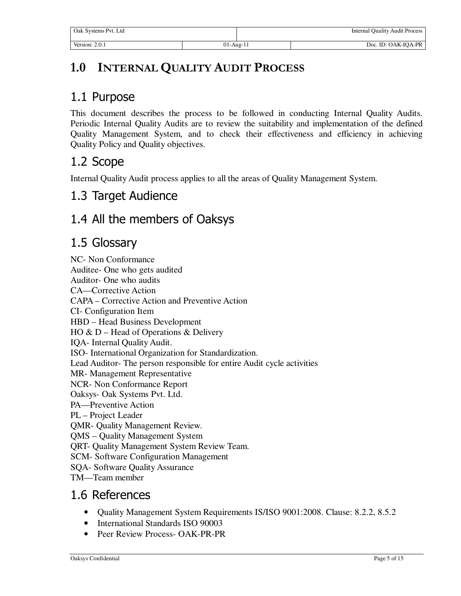# **1.0 INTERNAL QUALITY AUDIT PROCESS**

### 1.1 Purpose

This document describes the process to be followed in conducting Internal Quality Audits. Periodic Internal Quality Audits are to review the suitability and implementation of the defined Quality Management System, and to check their effectiveness and efficiency in achieving Quality Policy and Quality objectives.

## 1.2 Scope

Internal Quality Audit process applies to all the areas of Quality Management System.

#### 1.3 Target Audience

### 1.4 All the members of Oaksys

#### 1.5 Glossary

NC- Non Conformance Auditee- One who gets audited Auditor- One who audits CA—Corrective Action CAPA – Corrective Action and Preventive Action CI- Configuration Item HBD – Head Business Development HO & D – Head of Operations & Delivery IQA- Internal Quality Audit. ISO- International Organization for Standardization. Lead Auditor- The person responsible for entire Audit cycle activities MR- Management Representative NCR- Non Conformance Report Oaksys- Oak Systems Pvt. Ltd. PA—Preventive Action PL – Project Leader QMR- Quality Management Review. QMS – Quality Management System QRT- Quality Management System Review Team. SCM- Software Configuration Management SQA- Software Quality Assurance TM—Team member

#### 1.6 References

- Quality Management System Requirements IS/ISO 9001:2008. Clause: 8.2.2, 8.5.2
- International Standards ISO 90003
- Peer Review Process- OAK-PR-PR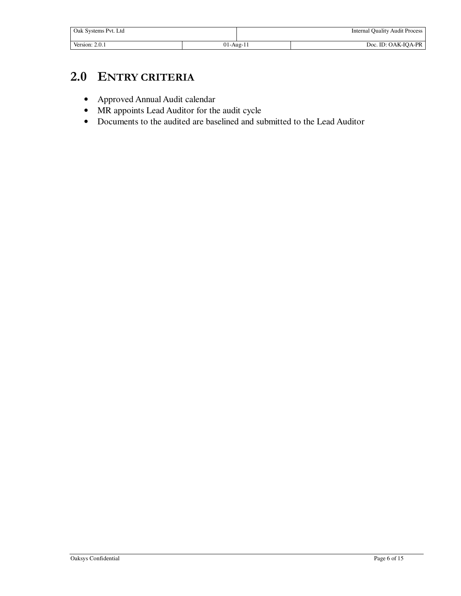| Oak Systems Pvt. Ltd |                 | <b>Internal Quality Audit Process</b> |
|----------------------|-----------------|---------------------------------------|
| Version: 2.0.1       | $01$ -Aug- $11$ | Doc. ID: OAK-IOA-PR                   |

# **2.0 ENTRY CRITERIA**

- Approved Annual Audit calendar
- MR appoints Lead Auditor for the audit cycle
- Documents to the audited are baselined and submitted to the Lead Auditor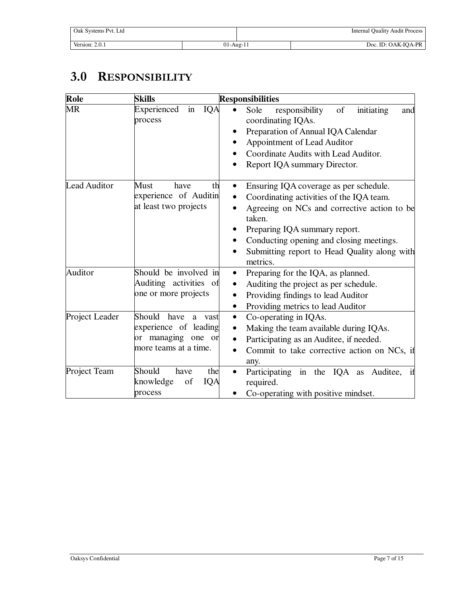| Oak Systems Pvt. Ltd |               | <b>Internal Quality Audit Process</b> |
|----------------------|---------------|---------------------------------------|
| Version: 2.0.1       | $01 - Aug-11$ | Doc. ID: OAK-IOA-PR                   |

# **3.0 RESPONSIBILITY**

| Role                | <b>Skills</b>                                                                                        | <b>Responsibilities</b>                                                                                                                                                                                                                                                                                                     |
|---------------------|------------------------------------------------------------------------------------------------------|-----------------------------------------------------------------------------------------------------------------------------------------------------------------------------------------------------------------------------------------------------------------------------------------------------------------------------|
| <b>MR</b>           | IQA<br>Experienced<br>in<br>process                                                                  | initiating<br>Sole<br>of<br>responsibility<br>and<br>coordinating IQAs.<br>Preparation of Annual IQA Calendar<br>Appointment of Lead Auditor<br>Coordinate Audits with Lead Auditor.<br>Report IQA summary Director.                                                                                                        |
| <b>Lead Auditor</b> | Must<br>have<br>th<br>experience of Auditin<br>at least two projects                                 | Ensuring IQA coverage as per schedule.<br>$\bullet$<br>Coordinating activities of the IQA team.<br>$\bullet$<br>Agreeing on NCs and corrective action to be<br>$\bullet$<br>taken.<br>Preparing IQA summary report.<br>Conducting opening and closing meetings.<br>Submitting report to Head Quality along with<br>metrics. |
| Auditor             | Should be involved in<br>Auditing activities of<br>one or more projects                              | Preparing for the IQA, as planned.<br>$\bullet$<br>Auditing the project as per schedule.<br>$\bullet$<br>Providing findings to lead Auditor<br>$\bullet$<br>Providing metrics to lead Auditor<br>$\bullet$                                                                                                                  |
| Project Leader      | Should have<br>a.<br>vast<br>experience of leading<br>or managing one<br>or<br>more teams at a time. | Co-operating in IQAs.<br>$\bullet$<br>Making the team available during IQAs.<br>$\bullet$<br>Participating as an Auditee, if needed.<br>$\bullet$<br>Commit to take corrective action on NCs, if<br>$\bullet$<br>any.                                                                                                       |
| Project Team        | Should<br>have<br>the<br>knowledge<br>IQA<br>of<br>process                                           | Participating in the IQA as Auditee,<br>if<br>$\bullet$<br>required.<br>Co-operating with positive mindset.                                                                                                                                                                                                                 |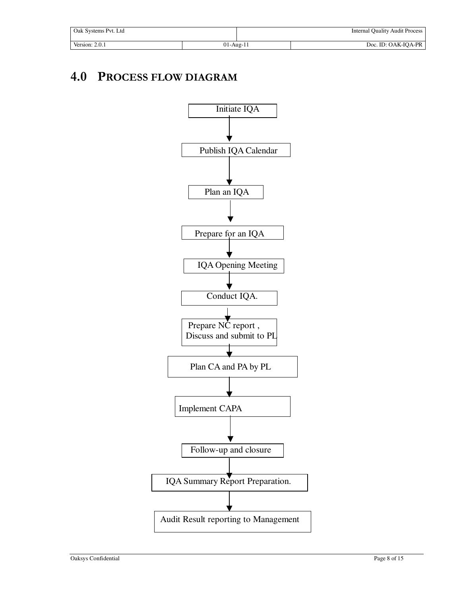| Oak Systems Pyt. Ltd |                 | <b>Internal Quality Audit Process</b> |
|----------------------|-----------------|---------------------------------------|
| Version: $2.0.1$     | $01$ -Aug- $11$ | Doc. ID: OAK-IQA-PR                   |

## **4.0 PROCESS FLOW DIAGRAM**

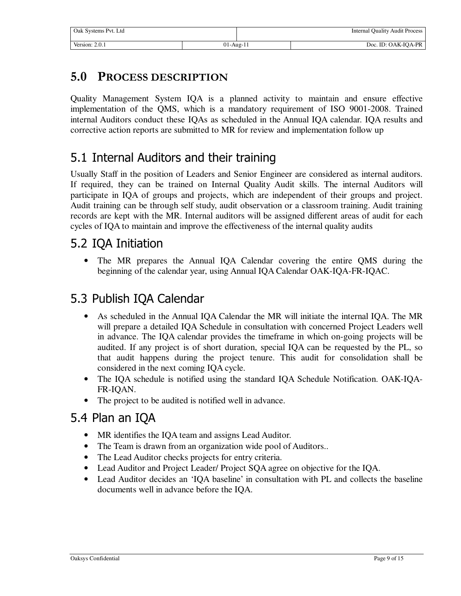| Oak Systems Pvt. Ltd |               | <b>Internal Quality Audit Process</b> |
|----------------------|---------------|---------------------------------------|
| Version: $2.0.1$     | $01 - Aug-11$ | Doc. ID: OAK-IOA-PR                   |

#### **5.0 PROCESS DESCRIPTION**

Quality Management System IQA is a planned activity to maintain and ensure effective implementation of the QMS, which is a mandatory requirement of ISO 9001-2008. Trained internal Auditors conduct these IQAs as scheduled in the Annual IQA calendar. IQA results and corrective action reports are submitted to MR for review and implementation follow up

## 5.1 Internal Auditors and their training

Usually Staff in the position of Leaders and Senior Engineer are considered as internal auditors. If required, they can be trained on Internal Quality Audit skills. The internal Auditors will participate in IQA of groups and projects, which are independent of their groups and project. Audit training can be through self study, audit observation or a classroom training. Audit training records are kept with the MR. Internal auditors will be assigned different areas of audit for each cycles of IQA to maintain and improve the effectiveness of the internal quality audits

#### 5.2 IQA Initiation

• The MR prepares the Annual IQA Calendar covering the entire QMS during the beginning of the calendar year, using Annual IQA Calendar OAK-IQA-FR-IQAC.

## 5.3 Publish IQA Calendar

- As scheduled in the Annual IQA Calendar the MR will initiate the internal IQA. The MR will prepare a detailed IQA Schedule in consultation with concerned Project Leaders well in advance. The IQA calendar provides the timeframe in which on-going projects will be audited. If any project is of short duration, special IQA can be requested by the PL, so that audit happens during the project tenure. This audit for consolidation shall be considered in the next coming IQA cycle.
- The IQA schedule is notified using the standard IQA Schedule Notification. OAK-IQA-FR-IQAN.
- The project to be audited is notified well in advance.

### 5.4 Plan an IQA

- MR identifies the IOA team and assigns Lead Auditor.
- The Team is drawn from an organization wide pool of Auditors..
- The Lead Auditor checks projects for entry criteria.
- Lead Auditor and Project Leader/ Project SQA agree on objective for the IQA.
- Lead Auditor decides an 'IQA baseline' in consultation with PL and collects the baseline documents well in advance before the IQA.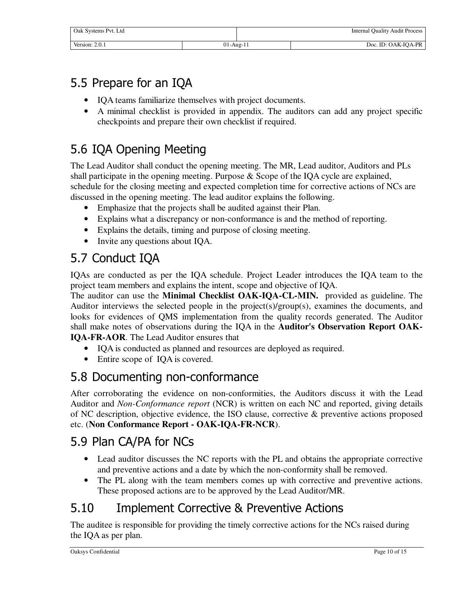| Oak Systems Pvt. Ltd |                 | <b>Internal Quality Audit Process</b> |
|----------------------|-----------------|---------------------------------------|
| Version: 2.0.1       | $01$ -Aug- $11$ | Doc. ID: OAK-IOA-PR                   |

# 5.5 Prepare for an IQA

- IQA teams familiarize themselves with project documents.
- A minimal checklist is provided in appendix. The auditors can add any project specific checkpoints and prepare their own checklist if required.

# 5.6 IQA Opening Meeting

The Lead Auditor shall conduct the opening meeting. The MR, Lead auditor, Auditors and PLs shall participate in the opening meeting. Purpose & Scope of the IQA cycle are explained, schedule for the closing meeting and expected completion time for corrective actions of NCs are discussed in the opening meeting. The lead auditor explains the following.

- Emphasize that the projects shall be audited against their Plan.
- Explains what a discrepancy or non-conformance is and the method of reporting.
- Explains the details, timing and purpose of closing meeting.
- Invite any questions about IOA.

# 5.7 Conduct IQA

IQAs are conducted as per the IQA schedule. Project Leader introduces the IQA team to the project team members and explains the intent, scope and objective of IQA.

The auditor can use the **Minimal Checklist OAK-IQA-CL-MIN.** provided as guideline. The Auditor interviews the selected people in the project(s)/group(s), examines the documents, and looks for evidences of QMS implementation from the quality records generated. The Auditor shall make notes of observations during the IQA in the **Auditor's Observation Report OAK-IQA-FR-AOR**. The Lead Auditor ensures that

- IQA is conducted as planned and resources are deployed as required.
- Entire scope of IQA is covered.

## 5.8 Documenting non-conformance

After corroborating the evidence on non-conformities, the Auditors discuss it with the Lead Auditor and *Non-Conformance report* (NCR) is written on each NC and reported, giving details of NC description, objective evidence, the ISO clause, corrective & preventive actions proposed etc. (**Non Conformance Report - OAK-IQA-FR-NCR**).

# 5.9 Plan CA/PA for NCs

- Lead auditor discusses the NC reports with the PL and obtains the appropriate corrective and preventive actions and a date by which the non-conformity shall be removed.
- The PL along with the team members comes up with corrective and preventive actions. These proposed actions are to be approved by the Lead Auditor/MR.

# 5.10 Implement Corrective & Preventive Actions

The auditee is responsible for providing the timely corrective actions for the NCs raised during the IQA as per plan.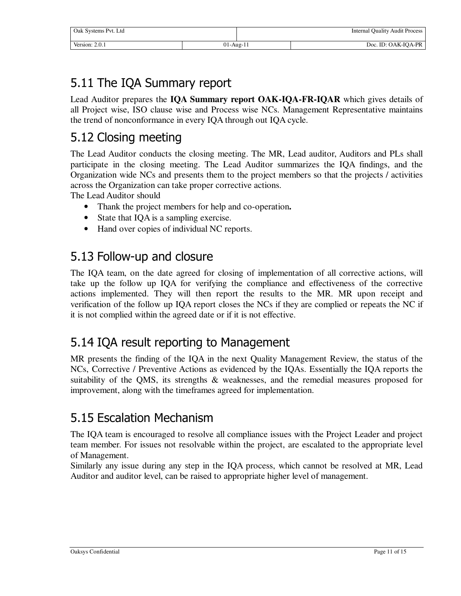| Oak Systems Pvt. Ltd |               | <b>Internal Quality Audit Process</b> |
|----------------------|---------------|---------------------------------------|
| Version: 2.0.1       | $01 - Aug-11$ | Doc. ID: OAK-IOA-PR                   |

# 5.11 The IQA Summary report

Lead Auditor prepares the **IQA Summary report OAK-IQA-FR-IQAR** which gives details of all Project wise, ISO clause wise and Process wise NCs. Management Representative maintains the trend of nonconformance in every IQA through out IQA cycle.

## 5.12 Closing meeting

The Lead Auditor conducts the closing meeting. The MR, Lead auditor, Auditors and PLs shall participate in the closing meeting. The Lead Auditor summarizes the IQA findings, and the Organization wide NCs and presents them to the project members so that the projects / activities across the Organization can take proper corrective actions.

The Lead Auditor should

- Thank the project members for help and co-operation**.**
- State that IQA is a sampling exercise.
- Hand over copies of individual NC reports.

## 5.13 Follow-up and closure

The IQA team, on the date agreed for closing of implementation of all corrective actions, will take up the follow up IQA for verifying the compliance and effectiveness of the corrective actions implemented. They will then report the results to the MR. MR upon receipt and verification of the follow up IQA report closes the NCs if they are complied or repeats the NC if it is not complied within the agreed date or if it is not effective.

### 5.14 IQA result reporting to Management

MR presents the finding of the IQA in the next Quality Management Review, the status of the NCs, Corrective / Preventive Actions as evidenced by the IQAs. Essentially the IQA reports the suitability of the QMS, its strengths & weaknesses, and the remedial measures proposed for improvement, along with the timeframes agreed for implementation.

## 5.15 Escalation Mechanism

The IQA team is encouraged to resolve all compliance issues with the Project Leader and project team member. For issues not resolvable within the project, are escalated to the appropriate level of Management.

Similarly any issue during any step in the IQA process, which cannot be resolved at MR, Lead Auditor and auditor level, can be raised to appropriate higher level of management.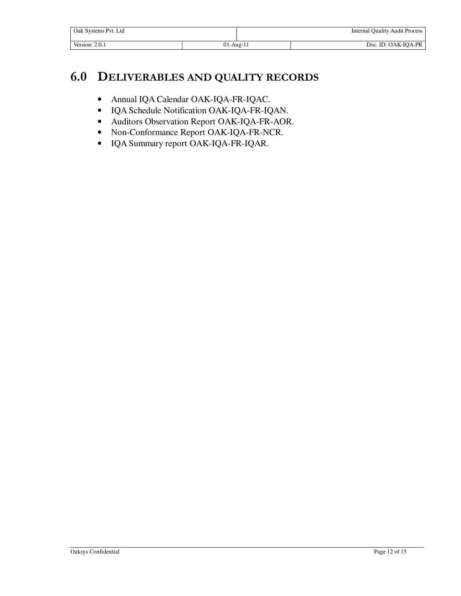| Oak Systems Pyt. Ltd |               |  | <b>Internal Quality Audit Process</b> |
|----------------------|---------------|--|---------------------------------------|
| Version: 2.0.1       | $01 - Aug-11$ |  | Doc. ID: OAK-IQA-PR                   |

### **6.0 DELIVERABLES AND QUALITY RECORDS**

- Annual IQA Calendar OAK-IQA-FR-IQAC.
- IQA Schedule Notification OAK-IQA-FR-IQAN.
- Auditors Observation Report OAK-IQA-FR-AOR.
- Non-Conformance Report OAK-IQA-FR-NCR.
- IQA Summary report OAK-IQA-FR-IQAR.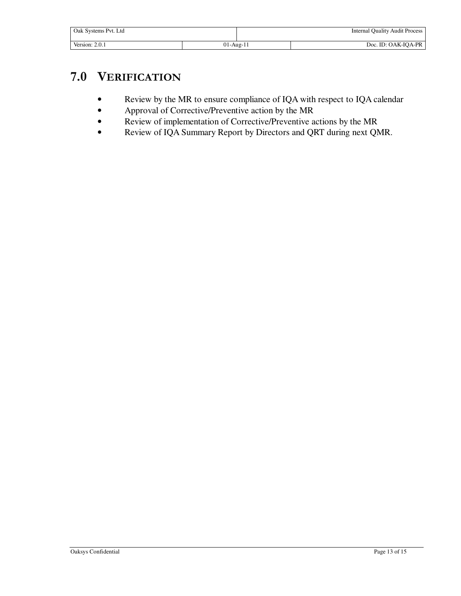| Oak Systems Pvt. Ltd |             |  | <b>Internal Quality Audit Process</b> |
|----------------------|-------------|--|---------------------------------------|
| Version: 2.0.1       | $01-Aug-11$ |  | Doc. ID: OAK-IQA-PR                   |

## **7.0 VERIFICATION**

- Review by the MR to ensure compliance of IQA with respect to IQA calendar
- Approval of Corrective/Preventive action by the MR
- Review of implementation of Corrective/Preventive actions by the MR
- Review of IQA Summary Report by Directors and QRT during next QMR.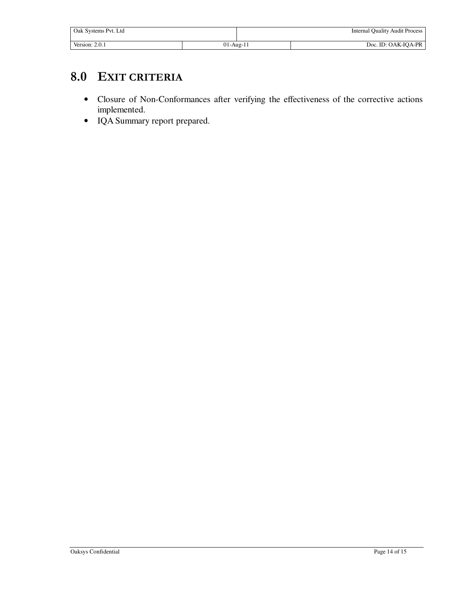| Oak Systems Pvt. Ltd |             |  | <b>Internal Quality Audit Process</b> |
|----------------------|-------------|--|---------------------------------------|
| Version: 2.0.1       | $01-Aug-11$ |  | Doc. ID: OAK-IQA-PR                   |

## **8.0 EXIT CRITERIA**

- Closure of Non-Conformances after verifying the effectiveness of the corrective actions implemented.
- IQA Summary report prepared.